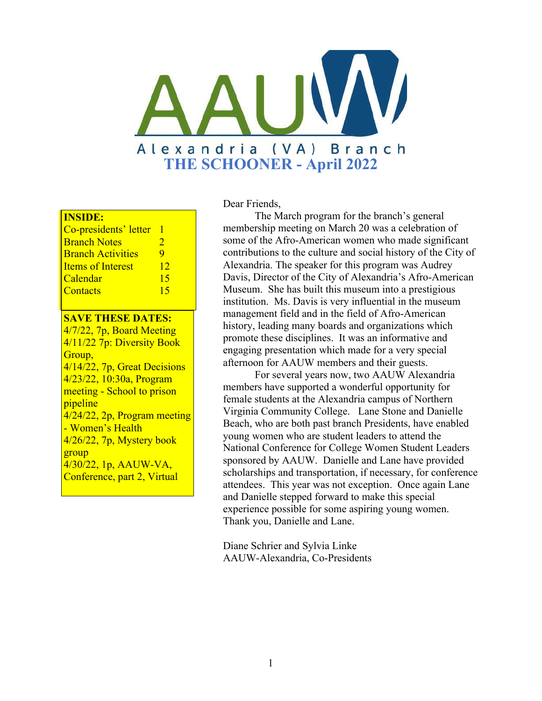

#### **INSIDE:**

| Co-presidents' letter    |               |
|--------------------------|---------------|
| <b>Branch Notes</b>      | $\mathcal{D}$ |
| <b>Branch Activities</b> | 9             |
| <b>Items of Interest</b> | 12            |
| Calendar                 | 15            |
| Contacts                 | 15            |
|                          |               |

#### **SAVE THESE DATES:**

4/7/22, 7p, Board Meeting 4/11/22 7p: Diversity Book Group, 4/14/22, 7p, Great Decisions 4/23/22, 10:30a, Program meeting - School to prison pipeline 4/24/22, 2p, Program meeting - Women's Health 4/26/22, 7p, Mystery book group 4/30/22, 1p, AAUW-VA, Conference, part 2, Virtual

#### Dear Friends,

The March program for the branch's general membership meeting on March 20 was a celebration of some of the Afro-American women who made significant contributions to the culture and social history of the City of Alexandria. The speaker for this program was Audrey Davis, Director of the City of Alexandria's Afro-American Museum. She has built this museum into a prestigious institution. Ms. Davis is very influential in the museum management field and in the field of Afro-American history, leading many boards and organizations which promote these disciplines. It was an informative and engaging presentation which made for a very special afternoon for AAUW members and their guests.

For several years now, two AAUW Alexandria members have supported a wonderful opportunity for female students at the Alexandria campus of Northern Virginia Community College. Lane Stone and Danielle Beach, who are both past branch Presidents, have enabled young women who are student leaders to attend the National Conference for College Women Student Leaders sponsored by AAUW. Danielle and Lane have provided scholarships and transportation, if necessary, for conference attendees. This year was not exception. Once again Lane and Danielle stepped forward to make this special experience possible for some aspiring young women. Thank you, Danielle and Lane.

Diane Schrier and Sylvia Linke AAUW-Alexandria, Co-Presidents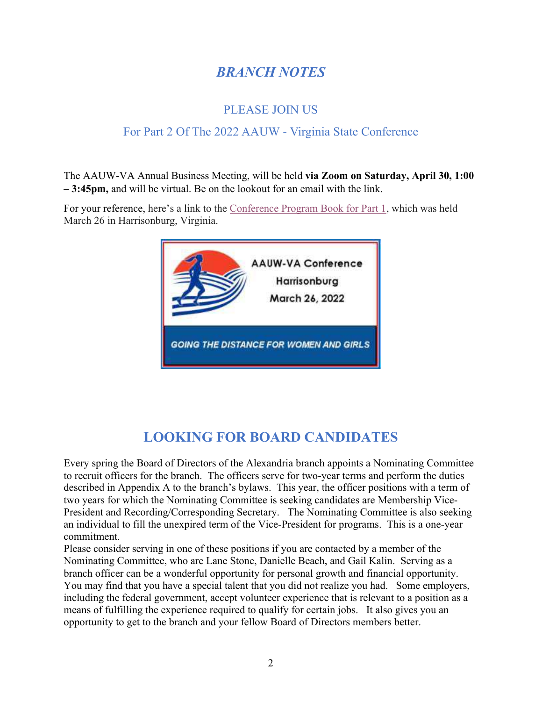### *BRANCH NOTES*

#### PLEASE JOIN US

#### For Part 2 Of The 2022 AAUW - Virginia State Conference

The AAUW-VA Annual Business Meeting, will be held **via Zoom on Saturday, April 30, 1:00 – 3:45pm,** and will be virtual. Be on the lookout for an email with the link.

For your reference, here's a link to the [Conference Program Book for Part 1](https://aauw.us7.list-manage.com/track/click?u=4cda310c25931a000dcc64cfa&id=05209ee3b0&e=1312effc69), which was held March 26 in Harrisonburg, Virginia.



### **LOOKING FOR BOARD CANDIDATES**

Every spring the Board of Directors of the Alexandria branch appoints a Nominating Committee to recruit officers for the branch. The officers serve for two-year terms and perform the duties described in Appendix A to the branch's bylaws. This year, the officer positions with a term of two years for which the Nominating Committee is seeking candidates are Membership Vice-President and Recording/Corresponding Secretary. The Nominating Committee is also seeking an individual to fill the unexpired term of the Vice-President for programs. This is a one-year commitment.

Please consider serving in one of these positions if you are contacted by a member of the Nominating Committee, who are Lane Stone, Danielle Beach, and Gail Kalin. Serving as a branch officer can be a wonderful opportunity for personal growth and financial opportunity. You may find that you have a special talent that you did not realize you had. Some employers, including the federal government, accept volunteer experience that is relevant to a position as a means of fulfilling the experience required to qualify for certain jobs. It also gives you an opportunity to get to the branch and your fellow Board of Directors members better.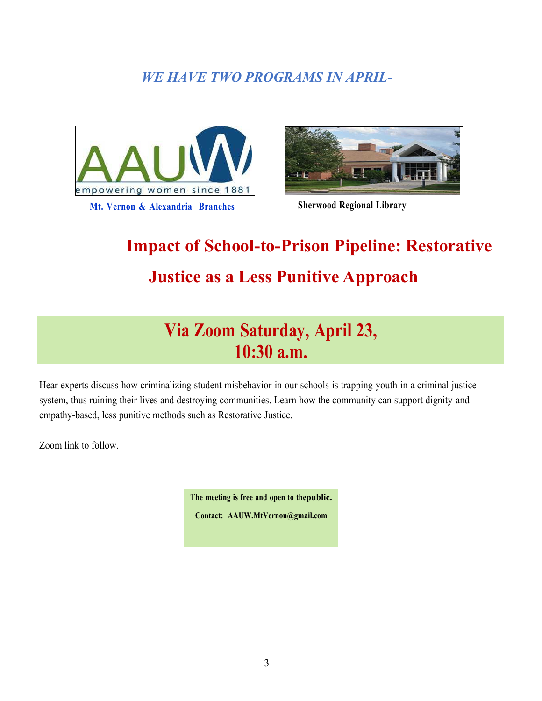### *WE HAVE TWO PROGRAMS IN APRIL-*





# **Impact of School-to-Prison Pipeline: Restorative Justice as a Less Punitive Approach**

## **Via Zoom Saturday, April 23, 10:30 a.m.**

Hear experts discuss how criminalizing student misbehavior in our schools is trapping youth in a criminal justice system, thus ruining their lives and destroying communities. Learn how the community can support dignity-and empathy-based, less punitive methods such as Restorative Justice.

Zoom link to follow.

**The meeting is free and open to thepublic.**

**Contact: [AAUW.MtVernon@gmail.com](mailto:AAUW.MtVernon@gmail.com)**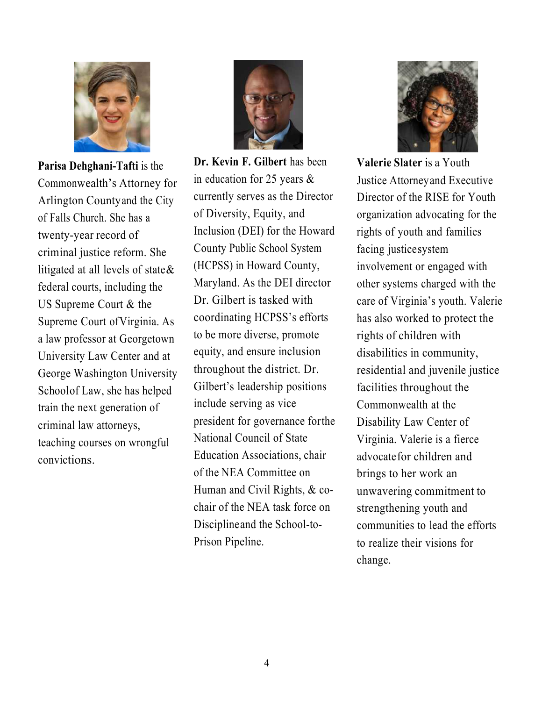

**Parisa Dehghani-Tafti** is the Commonwealth's Attorney for Arlington Countyand the City of Falls Church. She has a twenty-year record of criminal justice reform. She litigated at all levels of state  $\&$ federal courts, including the US Supreme Court & the Supreme Court ofVirginia. As a law professor at Georgetown University Law Center and at George Washington University Schoolof Law, she has helped train the next generation of criminal law attorneys, teaching courses on wrongful convictions.



**Dr. Kevin F. Gilbert** has been in education for 25 years & currently serves as the Director of Diversity, Equity, and Inclusion (DEI) for the Howard County Public School System (HCPSS) in Howard County, Maryland. As the DEI director Dr. Gilbert is tasked with coordinating HCPSS's efforts to be more diverse, promote equity, and ensure inclusion throughout the district. Dr. Gilbert's leadership positions include serving as vice president for governance forthe National Council of State Education Associations, chair of the NEA Committee on Human and Civil Rights, & cochair of the NEA task force on Disciplineand the School-to-Prison Pipeline.



**Valerie Slater** is a Youth Justice Attorneyand Executive Director of the RISE for Youth organization advocating for the rights of youth and families facing justicesystem involvement or engaged with other systems charged with the care of Virginia's youth. Valerie has also worked to protect the rights of children with disabilities in community, residential and juvenile justice facilities throughout the Commonwealth at the Disability Law Center of Virginia. Valerie is a fierce advocatefor children and brings to her work an unwavering commitment to strengthening youth and communities to lead the efforts to realize their visions for change.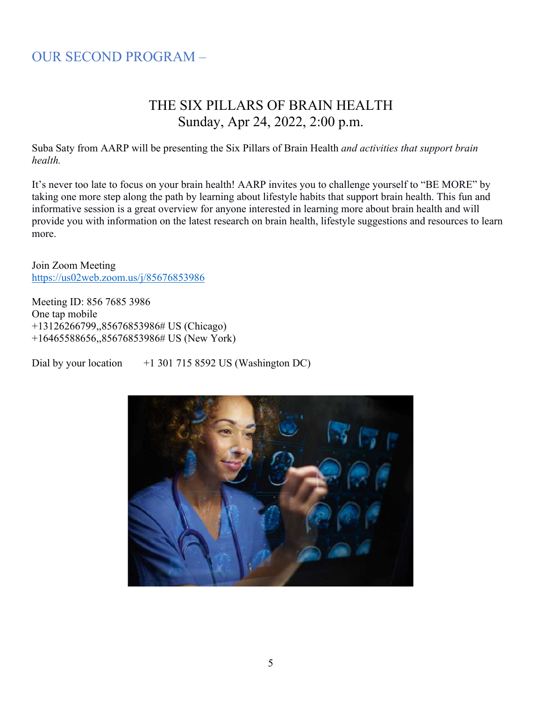### OUR SECOND PROGRAM –

### THE SIX PILLARS OF BRAIN HEALTH Sunday, Apr 24, 2022, 2:00 p.m.

Suba Saty from AARP will be presenting the Six Pillars of Brain Health *and activities that support brain health.*

It's never too late to focus on your brain health! AARP invites you to challenge yourself to "BE MORE" by taking one more step along the path by learning about lifestyle habits that support brain health. This fun and informative session is a great overview for anyone interested in learning more about brain health and will provide you with information on the latest research on brain health, lifestyle suggestions and resources to learn more.

Join Zoom Meeting <https://us02web.zoom.us/j/85676853986>

Meeting ID: 856 7685 3986 One tap mobile +13126266799,,85676853986# US (Chicago) +16465588656,,85676853986# US (New York)

Dial by your location  $+13017158592$  US (Washington DC)

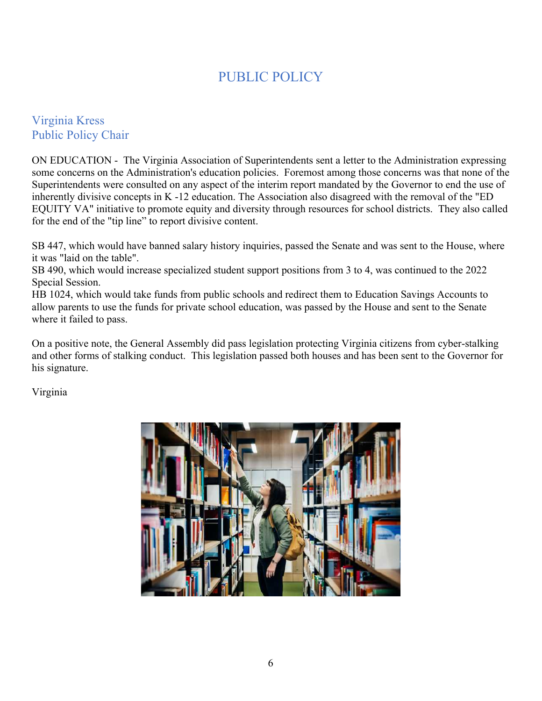### PUBLIC POLICY

#### Virginia Kress Public Policy Chair

ON EDUCATION - The Virginia Association of Superintendents sent a letter to the Administration expressing some concerns on the Administration's education policies. Foremost among those concerns was that none of the Superintendents were consulted on any aspect of the interim report mandated by the Governor to end the use of inherently divisive concepts in K -12 education. The Association also disagreed with the removal of the "ED EQUITY VA" initiative to promote equity and diversity through resources for school districts. They also called for the end of the "tip line" to report divisive content.

SB 447, which would have banned salary history inquiries, passed the Senate and was sent to the House, where it was "laid on the table".

SB 490, which would increase specialized student support positions from 3 to 4, was continued to the 2022 Special Session.

HB 1024, which would take funds from public schools and redirect them to Education Savings Accounts to allow parents to use the funds for private school education, was passed by the House and sent to the Senate where it failed to pass.

On a positive note, the General Assembly did pass legislation protecting Virginia citizens from cyber-stalking and other forms of stalking conduct. This legislation passed both houses and has been sent to the Governor for his signature.

Virginia

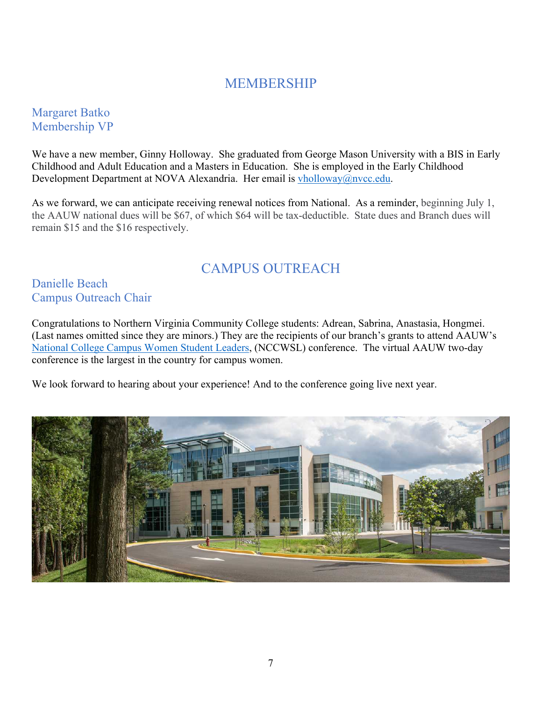#### MEMBERSHIP

#### Margaret Batko Membership VP

We have a new member, Ginny Holloway. She graduated from George Mason University with a BIS in Early Childhood and Adult Education and a Masters in Education. She is employed in the Early Childhood Development Department at NOVA Alexandria. Her email is *yholloway@nvcc.edu.* 

As we forward, we can anticipate receiving renewal notices from National. As a reminder, beginning July 1, the AAUW national dues will be \$67, of which \$64 will be tax-deductible. State dues and Branch dues will remain \$15 and the \$16 respectively.

### CAMPUS OUTREACH

#### Danielle Beach Campus Outreach Chair

Congratulations to Northern Virginia Community College students: Adrean, Sabrina, Anastasia, Hongmei. (Last names omitted since they are minors.) They are the recipients of our branch's grants to attend AAUW's [National College Campus Women Student Leaders](https://www.aauw.org/resources/events/nccwsl/), (NCCWSL) conference. The virtual AAUW two-day conference is the largest in the country for campus women.

We look forward to hearing about your experience! And to the conference going live next year.

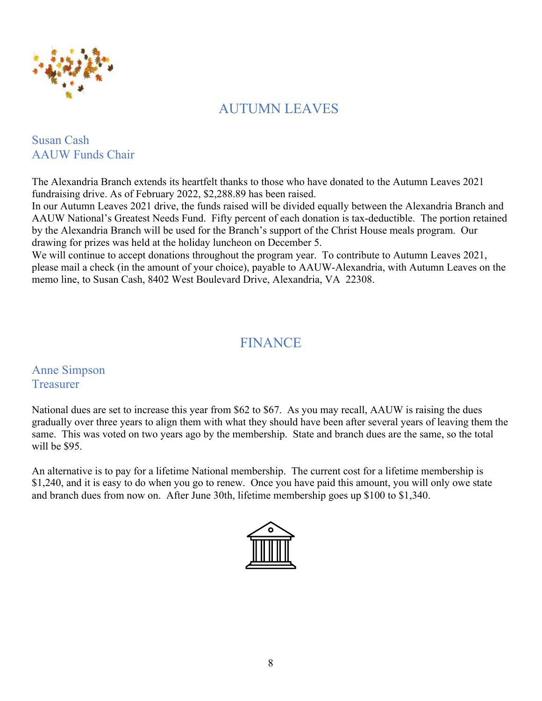

### AUTUMN LEAVES

#### Susan Cash AAUW Funds Chair

The Alexandria Branch extends its heartfelt thanks to those who have donated to the Autumn Leaves 2021 fundraising drive. As of February 2022, \$2,288.89 has been raised.

In our Autumn Leaves 2021 drive, the funds raised will be divided equally between the Alexandria Branch and AAUW National's Greatest Needs Fund. Fifty percent of each donation is tax-deductible. The portion retained by the Alexandria Branch will be used for the Branch's support of the Christ House meals program. Our drawing for prizes was held at the holiday luncheon on December 5.

We will continue to accept donations throughout the program year. To contribute to Autumn Leaves 2021, please mail a check (in the amount of your choice), payable to AAUW-Alexandria, with Autumn Leaves on the memo line, to Susan Cash, 8402 West Boulevard Drive, Alexandria, VA 22308.

### FINANCE

Anne Simpson **Treasurer** 

National dues are set to increase this year from \$62 to \$67. As you may recall, AAUW is raising the dues gradually over three years to align them with what they should have been after several years of leaving them the same. This was voted on two years ago by the membership. State and branch dues are the same, so the total will be \$95.

An alternative is to pay for a lifetime National membership. The current cost for a lifetime membership is \$1,240, and it is easy to do when you go to renew. Once you have paid this amount, you will only owe state and branch dues from now on. After June 30th, lifetime membership goes up \$100 to \$1,340.

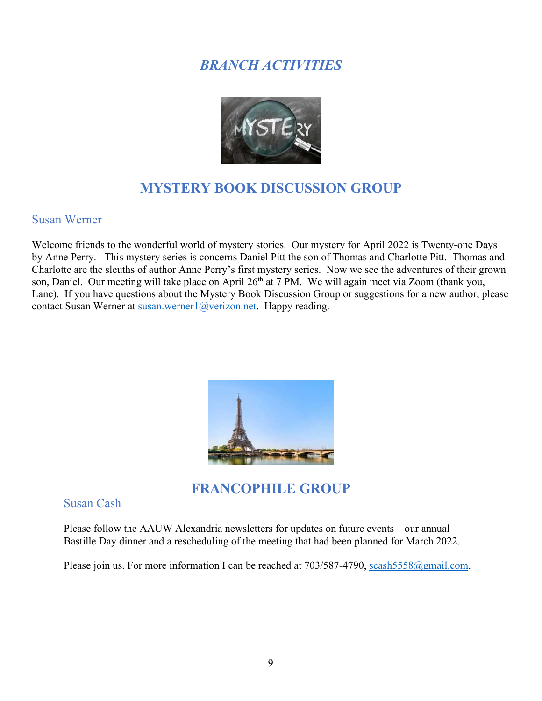### *BRANCH ACTIVITIES*



### **MYSTERY BOOK DISCUSSION GROUP**

#### Susan Werner

Welcome friends to the wonderful world of mystery stories. Our mystery for April 2022 is Twenty-one Days by Anne Perry. This mystery series is concerns Daniel Pitt the son of Thomas and Charlotte Pitt. Thomas and Charlotte are the sleuths of author Anne Perry's first mystery series. Now we see the adventures of their grown son, Daniel. Our meeting will take place on April 26<sup>th</sup> at 7 PM. We will again meet via Zoom (thank you, Lane). If you have questions about the Mystery Book Discussion Group or suggestions for a new author, please contact Susan Werner at [susan.werner1@verizon.net](mailto:susan.werner1@verizon.net). Happy reading.



**FRANCOPHILE GROUP** 

#### Susan Cash

Please follow the AAUW Alexandria newsletters for updates on future events—our annual Bastille Day dinner and a rescheduling of the meeting that had been planned for March 2022.

Please join us. For more information I can be reached at  $703/587-4790$ , scash $5558@g$  mail.com.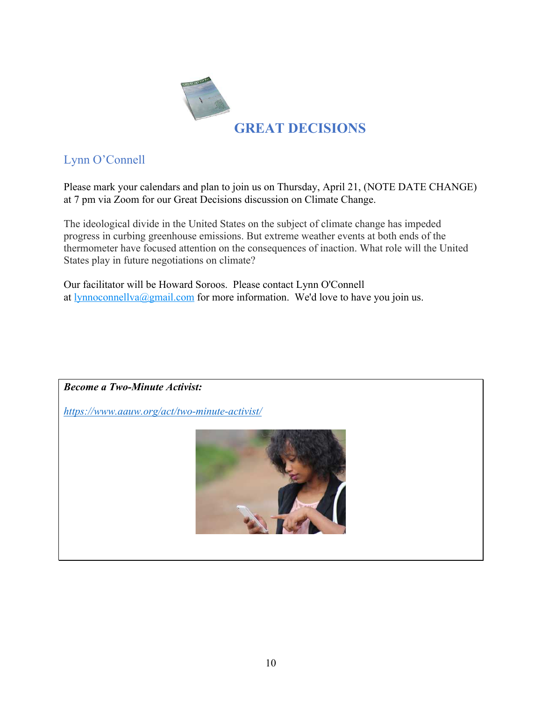

#### Lynn O'Connell

Please mark your calendars and plan to join us on Thursday, April 21, (NOTE DATE CHANGE) at 7 pm via Zoom for our Great Decisions discussion on Climate Change.

The ideological divide in the United States on the subject of climate change has impeded progress in curbing greenhouse emissions. But extreme weather events at both ends of the thermometer have focused attention on the consequences of inaction. What role will the United States play in future negotiations on climate?

Our facilitator will be Howard Soroos. Please contact Lynn O'Connell at  $lynnocomellva@gmail.com$  for more information. We'd love to have you join us.</u>

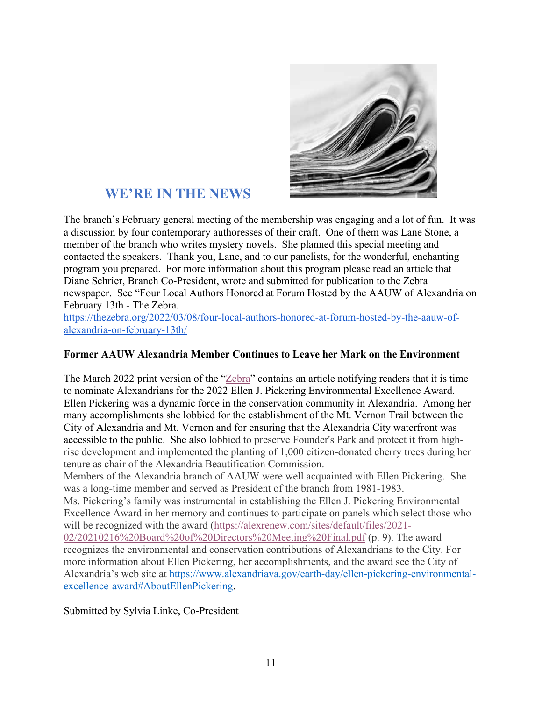

#### **WE'RE IN THE NEWS**

The branch's February general meeting of the membership was engaging and a lot of fun. It was a discussion by four contemporary authoresses of their craft. One of them was Lane Stone, a member of the branch who writes mystery novels. She planned this special meeting and contacted the speakers. Thank you, Lane, and to our panelists, for the wonderful, enchanting program you prepared. For more information about this program please read an article that Diane Schrier, Branch Co-President, wrote and submitted for publication to the Zebra newspaper. See "Four Local Authors Honored at Forum Hosted by the AAUW of Alexandria on February 13th - The Zebra.

[https://thezebra.org/2022/03/08/four-local-authors-honored-at-forum-hosted-by-the-aauw-of](https://thezebra.org/2022/03/08/four-local-authors-honored-at-forum-hosted-by-the-aauw-of-alexandria-on-february-13th/)[alexandria-on-february-13th/](https://thezebra.org/2022/03/08/four-local-authors-honored-at-forum-hosted-by-the-aauw-of-alexandria-on-february-13th/)

#### **Former AAUW Alexandria Member Continues to Leave her Mark on the Environment**

The March 2022 print version of the "[Zebra](http://www.thezebra.org/)" contains an article notifying readers that it is time to nominate Alexandrians for the 2022 Ellen J. Pickering Environmental Excellence Award. Ellen Pickering was a dynamic force in the conservation community in Alexandria. Among her many accomplishments she lobbied for the establishment of the Mt. Vernon Trail between the City of Alexandria and Mt. Vernon and for ensuring that the Alexandria City waterfront was accessible to the public. She also lobbied to preserve Founder's Park and protect it from highrise development and implemented the planting of 1,000 citizen-donated cherry trees during her tenure as chair of the Alexandria Beautification Commission.

Members of the Alexandria branch of AAUW were well acquainted with Ellen Pickering. She was a long-time member and served as President of the branch from 1981-1983.

Ms. Pickering's family was instrumental in establishing the Ellen J. Pickering Environmental Excellence Award in her memory and continues to participate on panels which select those who will be recognized with the award ([https://alexrenew.com/sites/default/files/2021](https://alexrenew.com/sites/default/files/2021-02/20210216 Board of Directors Meeting Final.pdf)-[02/20210216%20Board%20of%20Directors%20Meeting%20Final.pdf](https://alexrenew.com/sites/default/files/2021-02/20210216 Board of Directors Meeting Final.pdf) (p. 9). The award recognizes the environmental and conservation contributions of Alexandrians to the City. For more information about Ellen Pickering, her accomplishments, and the award see the City of Alexandria's web site at [https://www.alexandriava.gov/earth-day/ellen-pickering-environmental](https://www.alexandriava.gov/earth-day/ellen-pickering-environmental-excellence-award#AboutEllenPickering)[excellence-award#AboutEllenPickering](https://www.alexandriava.gov/earth-day/ellen-pickering-environmental-excellence-award#AboutEllenPickering).

Submitted by Sylvia Linke, Co-President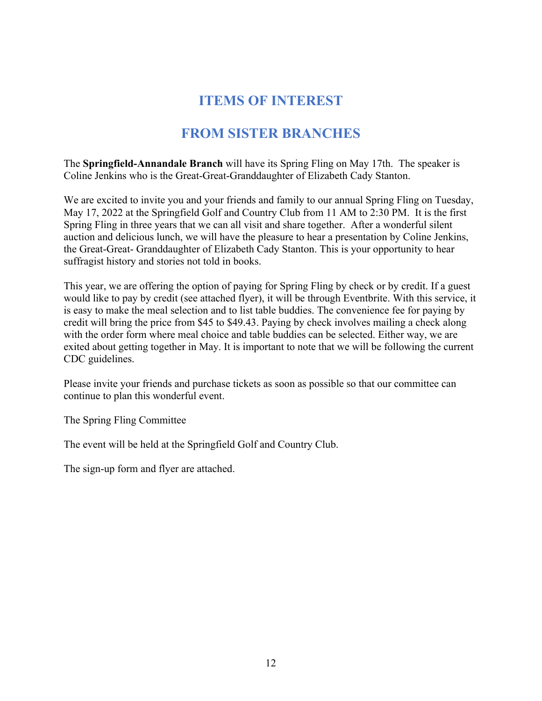### **ITEMS OF INTEREST**

### **FROM SISTER BRANCHES**

The **Springfield-Annandale Branch** will have its Spring Fling on May 17th. The speaker is Coline Jenkins who is the Great-Great-Granddaughter of Elizabeth Cady Stanton.

We are excited to invite you and your friends and family to our annual Spring Fling on Tuesday, May 17, 2022 at the Springfield Golf and Country Club from 11 AM to 2:30 PM. It is the first Spring Fling in three years that we can all visit and share together. After a wonderful silent auction and delicious lunch, we will have the pleasure to hear a presentation by Coline Jenkins, the Great-Great- Granddaughter of Elizabeth Cady Stanton. This is your opportunity to hear suffragist history and stories not told in books.

This year, we are offering the option of paying for Spring Fling by check or by credit. If a guest would like to pay by credit (see attached flyer), it will be through Eventbrite. With this service, it is easy to make the meal selection and to list table buddies. The convenience fee for paying by credit will bring the price from \$45 to \$49.43. Paying by check involves mailing a check along with the order form where meal choice and table buddies can be selected. Either way, we are exited about getting together in May. It is important to note that we will be following the current CDC guidelines.

Please invite your friends and purchase tickets as soon as possible so that our committee can continue to plan this wonderful event.

The Spring Fling Committee

The event will be held at the Springfield Golf and Country Club.

The sign-up form and flyer are attached.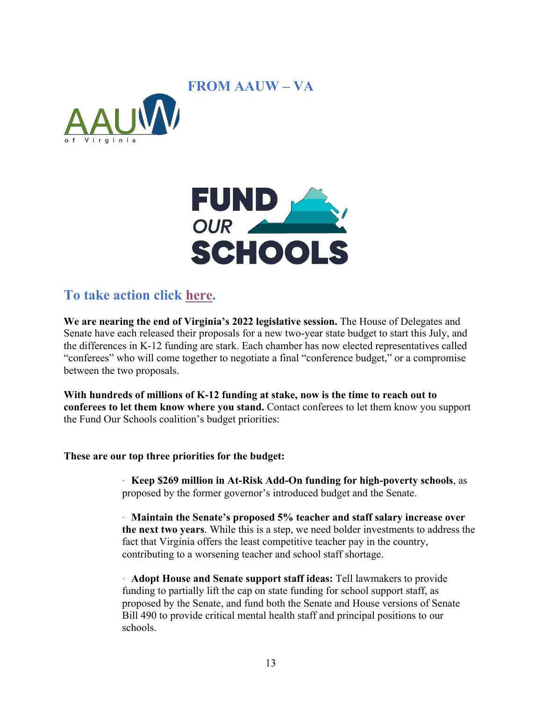#### **FROM AAUW – VA**





#### **To take action click [here.](https://www.fundourschoolsva.org/take-action/)**

**We are nearing the end of Virginia's 2022 legislative session.** The House of Delegates and Senate have each released their proposals for a new two-year state budget to start this July, and the differences in K-12 funding are stark. Each chamber has now elected representatives called "conferees" who will come together to negotiate a final "conference budget," or a compromise between the two proposals.

**With hundreds of millions of K-12 funding at stake, now is the time to reach out to conferees to let them know where you stand.** Contact conferees to let them know you support the Fund Our Schools coalition's budget priorities:

#### **These are our top three priorities for the budget:**

· **Keep \$269 million in At-Risk Add-On funding for high-poverty schools**, as proposed by the former governor's introduced budget and the Senate.

· **Maintain the Senate's proposed 5% teacher and staff salary increase over the next two years**. While this is a step, we need bolder investments to address the fact that Virginia offers the least competitive teacher pay in the country, contributing to a worsening teacher and school staff shortage.

· **Adopt House and Senate support staff ideas:** Tell lawmakers to provide funding to partially lift the cap on state funding for school support staff, as proposed by the Senate, and fund both the Senate and House versions of Senate Bill 490 to provide critical mental health staff and principal positions to our schools.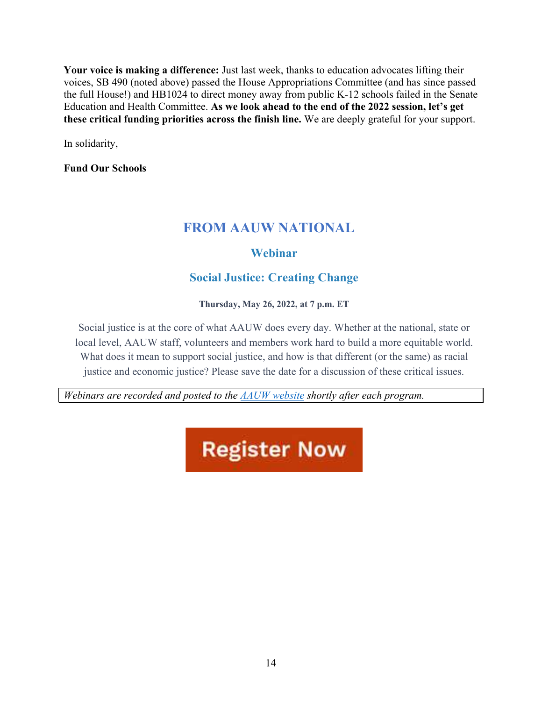**Your voice is making a difference:** Just last week, thanks to education advocates lifting their voices, SB 490 (noted above) passed the House Appropriations Committee (and has since passed the full House!) and HB1024 to direct money away from public K-12 schools failed in the Senate Education and Health Committee. **As we look ahead to the end of the 2022 session, let's get these critical funding priorities across the finish line.** We are deeply grateful for your support.

In solidarity,

**Fund Our Schools** 

#### **FROM AAUW NATIONAL**

#### **Webinar**

#### **Social Justice: Creating Change**

**Thursday, May 26, 2022, at 7 p.m. ET**

Social justice is at the core of what AAUW does every day. Whether at the national, state or local level, AAUW staff, volunteers and members work hard to build a more equitable world. What does it mean to support social justice, and how is that different (or the same) as racial justice and economic justice? Please save the date for a discussion of these critical issues.

*Webinars are recorded and posted to the [AAUW website](https://www.aauw.org/resources/programs/webinars/) shortly after each program.*